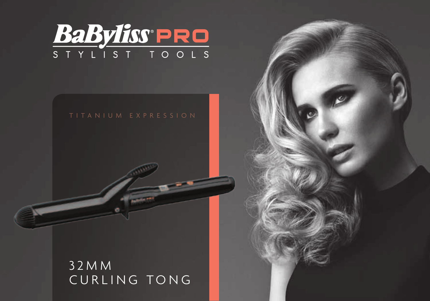

3 2 M M CURLING TONG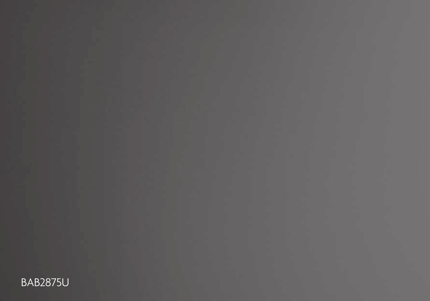BAB2875U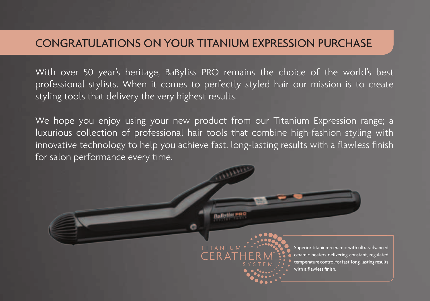#### CONGRATULATIONS ON YOUR TITANIUM EXPRESSION PURCHASE

With over 50 year's heritage, BaByliss PRO remains the choice of the world's best professional stylists. When it comes to perfectly styled hair our mission is to create styling tools that delivery the very highest results.

We hope you enjoy using your new product from our Titanium Expression range; a luxurious collection of professional hair tools that combine high-fashion styling with innovative technology to help you achieve fast, long-lasting results with a flawless finish for salon performance every time.

 $CFRA$ 

Superior titanium-ceramic with ultra-advanced ceramic heaters delivering constant, regulated temperature control for fast, long-lasting results

with a flawless finish.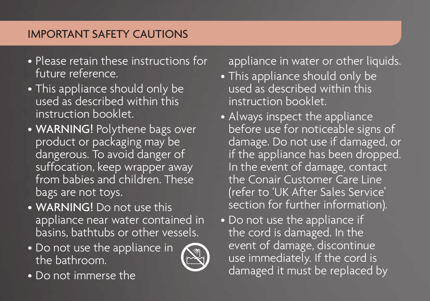# Important Safety Cautions

- Please retain these instructions for future reference.
- This appliance should only be used as described within this instruction booklet.
- WARNING! Polythene bags over product or packaging may be dangerous. To avoid danger of suffocation, keep wrapper away from babies and children. These bags are not toys.
- WARNING! Do not use this appliance near water contained in basins, bathtubs or other vessels.
- Do not use the appliance in the bathroom.



• Do not immerse the

appliance in water or other liquids.

- This appliance should only be used as described within this instruction booklet.
- Always inspect the appliance before use for noticeable signs of damage. Do not use if damaged, or if the appliance has been dropped. In the event of damage, contact the Conair Customer Care Line (refer to 'UK After Sales Service' section for further information).
- Do not use the appliance if the cord is damaged. In the event of damage, discontinue use immediately. If the cord is damaged it must be replaced by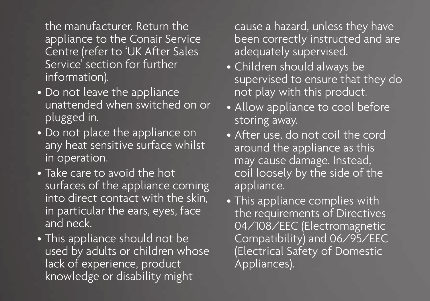the manufacturer. Return the appliance to the Conair Service Centre (refer to 'UK After Sales Service' section for further information).

- Do not leave the appliance unattended when switched on or plugged in.
- Do not place the appliance on any heat sensitive surface whilst in operation.
- Take care to avoid the hot surfaces of the appliance coming into direct contact with the skin, in particular the ears, eyes, face and neck.
- This appliance should not be used by adults or children whose lack of experience, product knowledge or disability might

cause a hazard, unless they have been correctly instructed and are adequately supervised.

- Children should always be supervised to ensure that they do not play with this product.
- Allow appliance to cool before storing away.
- After use, do not coil the cord around the appliance as this may cause damage. Instead, coil loosely by the side of the appliance.
- This appliance complies with the requirements of Directives 04/108/EEC (Electromagnetic Compatibility) and 06/95/EEC (Electrical Safety of Domestic Appliances).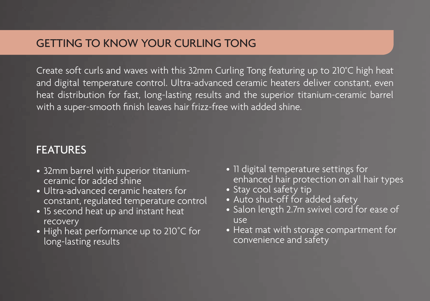#### GETTING TO KNOW YOUR CURLING TONG

Create soft curls and waves with this 32mm Curling Tong featuring up to 210°C high heat and digital temperature control. Ultra-advanced ceramic heaters deliver constant, even heat distribution for fast, long-lasting results and the superior titanium-ceramic barrel with a super-smooth finish leaves hair frizz-free with added shine.

#### **FEATURES**

- 32mm barrel with superior titaniumceramic for added shine
- Ultra-advanced ceramic heaters for constant, regulated temperature control
- 15 second heat up and instant heat recovery
- High heat performance up to 210˚C for long-lasting results
- 11 digital temperature settings for enhanced hair protection on all hair types
- Stay cool safety tip
- Auto shut-off for added safety
- Salon length 2.7m swivel cord for ease of use
- Heat mat with storage compartment for convenience and safety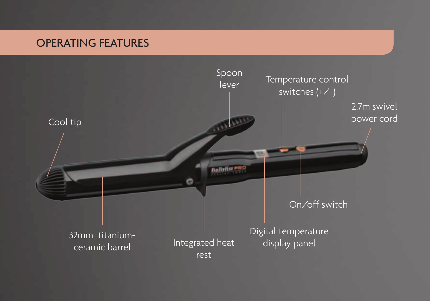# OPERATING FEATURES

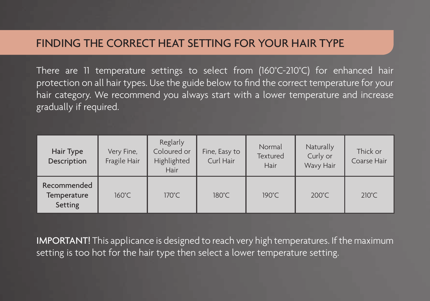#### FINDING THE CORRECT HEAT SETTING FOR YOUR HAIR TYPE

There are 11 temperature settings to select from (160°C-210°C) for enhanced hair protection on all hair types. Use the guide below to find the correct temperature for your hair category. We recommend you always start with a lower temperature and increase gradually if required.

| Hair Type<br>Description              | Very Fine,<br>Fragile Hair | Reglarly<br>Coloured or<br>Highlighted<br>Hair | Fine, Easy to<br>Curl Hair | Normal<br>Textured<br>Hair | Naturally<br>Curly or<br>Wavy Hair | Thick or<br>Coarse Hair |
|---------------------------------------|----------------------------|------------------------------------------------|----------------------------|----------------------------|------------------------------------|-------------------------|
| Recommended<br>Temperature<br>Setting | $160^{\circ}$ C            | $170^{\circ}$ C.                               | $180^{\circ}$ C            | $190^{\circ}$ C            | $200^{\circ}$ C                    | $210^{\circ}$ C         |

IMPORTANT! This applicance is designed to reach very high temperatures. If the maximum setting is too hot for the hair type then select a lower temperature setting.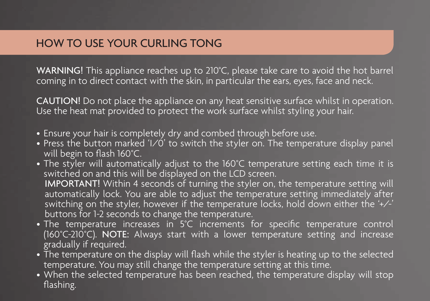#### HOW TO USE YOUR CURLING TONG

WARNING! This appliance reaches up to 210°C, please take care to avoid the hot barrel coming in to direct contact with the skin, in particular the ears, eyes, face and neck.

CAUTION! Do not place the appliance on any heat sensitive surface whilst in operation. Use the heat mat provided to protect the work surface whilst styling your hair.

- Ensure your hair is completely dry and combed through before use.
- Press the button marked ' $1/0$ ' to switch the styler on. The temperature display panel will begin to flash 160°C.
- The styler will automatically adjust to the 160°C temperature setting each time it is switched on and this will be displayed on the LCD screen. IMPORTANT! Within 4 seconds of turning the styler on, the temperature setting will automatically lock. You are able to adjust the temperature setting immediately after switching on the styler, however if the temperature locks, hold down either the '+/-' buttons for 1-2 seconds to change the temperature.
- The temperature increases in 5°C increments for specific temperature control (160°C-210°C). NOTE: Always start with a lower temperature setting and increase gradually if required.
- The temperature on the display will flash while the styler is heating up to the selected temperature. You may still change the temperature setting at this time.
- When the selected temperature has been reached, the temperature display will stop flashing.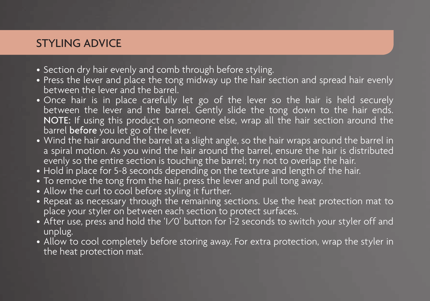# STYLING ADVICE

- Section dry hair evenly and comb through before styling.
- Press the lever and place the tong midway up the hair section and spread hair evenly between the lever and the barrel.
- Once hair is in place carefully let go of the lever so the hair is held securely between the lever and the barrel. Gently slide the tong down to the hair ends. NOTE: If using this product on someone else, wrap all the hair section around the barrel before you let go of the lever.
- Wind the hair around the barrel at a slight angle, so the hair wraps around the barrel in a spiral motion. As you wind the hair around the barrel, ensure the hair is distributed evenly so the entire section is touching the barrel; try not to overlap the hair.
- Hold in place for 5-8 seconds depending on the texture and length of the hair.
- To remove the tong from the hair, press the lever and pull tong away.
- Allow the curl to cool before styling it further.
- Repeat as necessary through the remaining sections. Use the heat protection mat to place your styler on between each section to protect surfaces.
- After use, press and hold the 'I/O' button for 1-2 seconds to switch your styler off and unplug.
- Allow to cool completely before storing away. For extra protection, wrap the styler in the heat protection mat.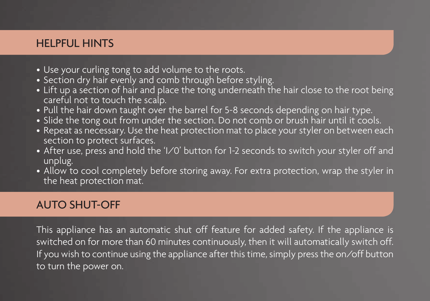#### HELPFUL HINTS

- Use your curling tong to add volume to the roots.
- Section dry hair evenly and comb through before styling.
- Lift up a section of hair and place the tong underneath the hair close to the root being careful not to touch the scalp.<br>• Pull the hair down taught over the barrel for 5-8 seconds depending on hair type.
- 
- Slide the tong out from under the section. Do not comb or brush hair until it cools.<br>• Repeat as necessary. Use the heat protection mat to place your styler on between each
- section to protect surfaces.
- After use, press and hold the 'I/O' button for 1-2 seconds to switch your styler off and unplug.
- Allow to cool completely before storing away. For extra protection, wrap the styler in the heat protection mat.

#### Auto shut-off

This appliance has an automatic shut off feature for added safety. If the appliance is switched on for more than 60 minutes continuously, then it will automatically switch off. If you wish to continue using the appliance after this time, simply press the on/off button to turn the power on.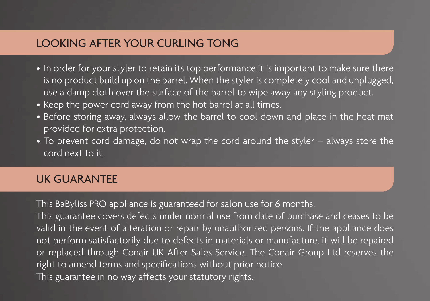### LOOKING AFTER YOUR CURLING TONG

- In order for your styler to retain its top performance it is important to make sure there is no product build up on the barrel. When the styler is completely cool and unplugged, use a damp cloth over the surface of the barrel to wipe away any styling product.
- Keep the power cord away from the hot barrel at all times.
- Before storing away, always allow the barrel to cool down and place in the heat mat provided for extra protection.
- To prevent cord damage, do not wrap the cord around the styler always store the cord next to it.

### UK GUARANTEE

This BaByliss PRO appliance is guaranteed for salon use for 6 months.

This guarantee covers defects under normal use from date of purchase and ceases to be valid in the event of alteration or repair by unauthorised persons. If the appliance does not perform satisfactorily due to defects in materials or manufacture, it will be repaired or replaced through Conair UK After Sales Service. The Conair Group Ltd reserves the right to amend terms and specifications without prior notice. This guarantee in no way affects your statutory rights.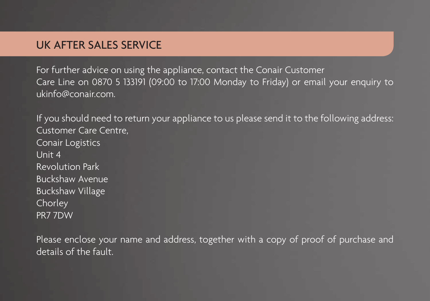#### UK AFTER SALES SERVICE

For further advice on using the appliance, contact the Conair Customer Care Line on 0870 5 133191 (09:00 to 17:00 Monday to Friday) or email your enquiry to ukinfo@conair.com.

If you should need to return your appliance to us please send it to the following address: Customer Care Centre, Conair Logistics Unit 4 Revolution Park Buckshaw Avenue Buckshaw Village Chorley PR7 7DW

Please enclose your name and address, together with a copy of proof of purchase and details of the fault.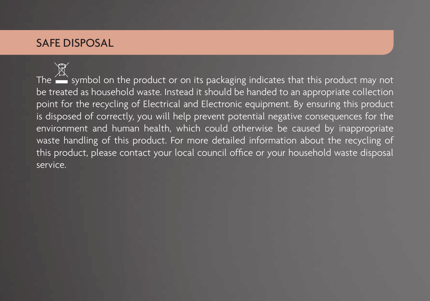# SAFE DISPOSAL

The  $\sum_{n=1}^{\infty}$  symbol on the product or on its packaging indicates that this product may not be treated as household waste. Instead it should be handed to an appropriate collection point for the recycling of Electrical and Electronic equipment. By ensuring this product is disposed of correctly, you will help prevent potential negative consequences for the environment and human health, which could otherwise be caused by inappropriate waste handling of this product. For more detailed information about the recycling of this product, please contact your local council office or your household waste disposal service.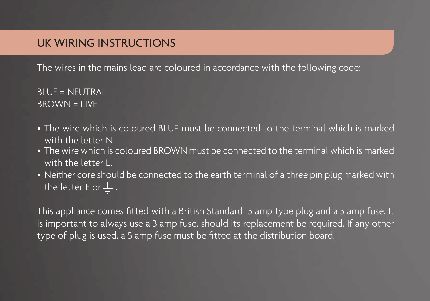### UK WIRING INSTRUCTIONS

The wires in the mains lead are coloured in accordance with the following code:

 $B$ LUE = NEUTRAL  $BROWN = IIVE$ 

- The wire which is coloured BLUE must be connected to the terminal which is marked with the letter N.
- The wire which is coloured BROWN must be connected to the terminal which is marked with the letter L.
- Neither core should be connected to the earth terminal of a three pin plug marked with the letter E or  $\perp$ .

This appliance comes fitted with a British Standard 13 amp type plug and a 3 amp fuse. It is important to always use a 3 amp fuse, should its replacement be required. If any other type of plug is used, a 5 amp fuse must be fitted at the distribution board.